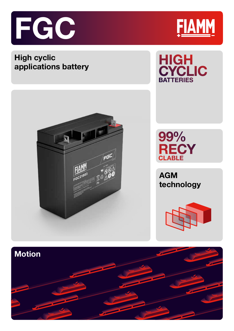

## **High cyclic applications battery**









**AGM technology**